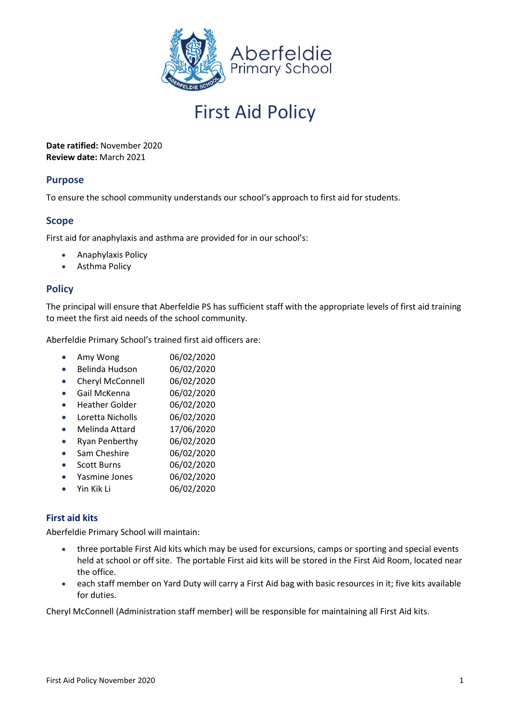

# First Aid Policy

**Date ratified:** November 2020 **Review date:** March 2021

### **Purpose**

To ensure the school community understands our school's approach to first aid for students.

## **Scope**

First aid for anaphylaxis and asthma are provided for in our school's:

- Anaphylaxis Policy
- Asthma Policy

### **Policy**

The principal will ensure that Aberfeldie PS has sufficient staff with the appropriate levels of first aid training to meet the first aid needs of the school community.

Aberfeldie Primary School's trained first aid officers are:

| Amy Wong | 06/02/2020 |
|----------|------------|
|----------|------------|

- Belinda Hudson 06/02/2020
- Cheryl McConnell 06/02/2020
- Gail McKenna 06/02/2020
- Heather Golder 06/02/2020
- Loretta Nicholls 06/02/2020
- Melinda Attard 17/06/2020
- Ryan Penberthy 06/02/2020
- Sam Cheshire 06/02/2020
- Scott Burns 06/02/2020
- Yasmine Jones 06/02/2020
- Yin Kik Li 06/02/2020

#### **First aid kits**

Aberfeldie Primary School will maintain:

- three portable First Aid kits which may be used for excursions, camps or sporting and special events held at school or off site. The portable First aid kits will be stored in the First Aid Room, located near the office.
- each staff member on Yard Duty will carry a First Aid bag with basic resources in it; five kits available for duties.

Cheryl McConnell (Administration staff member) will be responsible for maintaining all First Aid kits.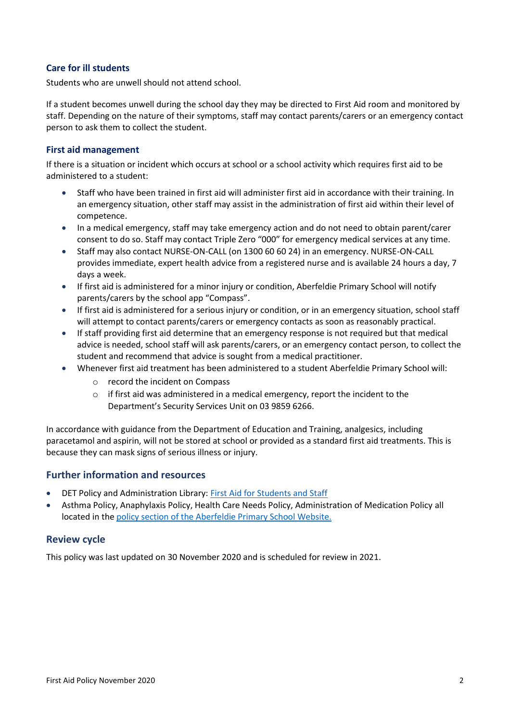#### **Care for ill students**

Students who are unwell should not attend school.

If a student becomes unwell during the school day they may be directed to First Aid room and monitored by staff. Depending on the nature of their symptoms, staff may contact parents/carers or an emergency contact person to ask them to collect the student.

#### **First aid management**

If there is a situation or incident which occurs at school or a school activity which requires first aid to be administered to a student:

- Staff who have been trained in first aid will administer first aid in accordance with their training. In an emergency situation, other staff may assist in the administration of first aid within their level of competence.
- In a medical emergency, staff may take emergency action and do not need to obtain parent/carer consent to do so. Staff may contact Triple Zero "000" for emergency medical services at any time.
- Staff may also contact NURSE-ON-CALL (on 1300 60 60 24) in an emergency. NURSE-ON-CALL provides immediate, expert health advice from a registered nurse and is available 24 hours a day, 7 days a week.
- If first aid is administered for a minor injury or condition, Aberfeldie Primary School will notify parents/carers by the school app "Compass".
- If first aid is administered for a serious injury or condition, or in an emergency situation, school staff will attempt to contact parents/carers or emergency contacts as soon as reasonably practical.
- If staff providing first aid determine that an emergency response is not required but that medical advice is needed, school staff will ask parents/carers, or an emergency contact person, to collect the student and recommend that advice is sought from a medical practitioner.
- Whenever first aid treatment has been administered to a student Aberfeldie Primary School will:
	- o record the incident on Compass
	- o if first aid was administered in a medical emergency, report the incident to the Department's Security Services Unit on 03 9859 6266.

In accordance with guidance from the Department of Education and Training, analgesics, including paracetamol and aspirin, will not be stored at school or provided as a standard first aid treatments. This is because they can mask signs of serious illness or injury.

#### **Further information and resources**

- DET Policy and Administration Library: [First Aid for Students and Staff](https://www2.education.vic.gov.au/pal/first-aid-students-and-staff/policy)
- Asthma Policy, Anaphylaxis Policy, Health Care Needs Policy, Administration of Medication Policy all located in the [policy section of the Aberfeldie Primary School Website.](http://www.aberfeldieps.vic.edu.au/about.php?id=13)

#### **Review cycle**

This policy was last updated on 30 November 2020 and is scheduled for review in 2021.